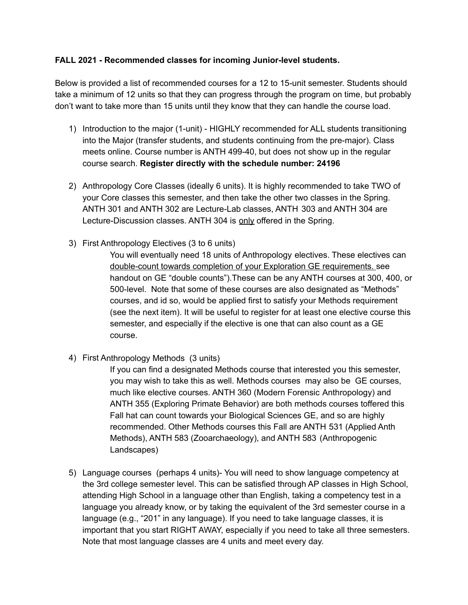## **FALL 2021 - Recommended classes for incoming Junior-level students.**

 Below is provided a list of recommended courses for a 12 to 15-unit semester. Students should take a minimum of 12 units so that they can progress through the program on time, but probably don't want to take more than 15 units until they know that they can handle the course load.

- 1) Introduction to the major (1-unit) HIGHLY recommended for ALL students transitioning into the Major (transfer students, and students continuing from the pre-major). Class meets online. Course number is ANTH 499-40, but does not show up in the regular  course search. **Register directly with the schedule number: 24196**
- 2) Anthropology Core Classes (ideally 6 units). It is highly recommended to take TWO of your Core classes this semester, and then take the other two classes in the Spring. ANTH 301 and ANTH 302 are Lecture-Lab classes, ANTH 303 and ANTH 304 are Lecture-Discussion classes. ANTH 304 is only offered in the Spring.
- 3) First Anthropology Electives (3 to 6 units)

 You will eventually need 18 units of Anthropology electives. These electives can double-count towards completion of your Exploration GE requirements. see handout on GE "double counts").These can be any ANTH courses at 300, 400, or 500-level. Note that some of these courses are also designated as "Methods" courses, and id so, would be applied first to satisfy your Methods requirement (see the next item). It will be useful to register for at least one elective course this semester, and especially if the elective is one that can also count as a GE course.

4) First Anthropology Methods (3 units)

 If you can find a designated Methods course that interested you this semester, you may wish to take this as well. Methods courses may also be GE courses, much like elective courses. ANTH 360 (Modern Forensic Anthropology) and ANTH 355 (Exploring Primate Behavior) are both methods courses toffered this Fall hat can count towards your Biological Sciences GE, and so are highly recommended. Other Methods courses this Fall are ANTH 531 (Applied Anth Methods), ANTH 583 (Zooarchaeology), and ANTH 583 (Anthropogenic Landscapes)

 5) Language courses (perhaps 4 units)- You will need to show language competency at the 3rd college semester level. This can be satisfied through AP classes in High School, attending High School in a language other than English, taking a competency test in a language you already know, or by taking the equivalent of the 3rd semester course in a language (e.g., "201" in any language). If you need to take language classes, it is important that you start RIGHT AWAY, especially if you need to take all three semesters. Note that most language classes are 4 units and meet every day.